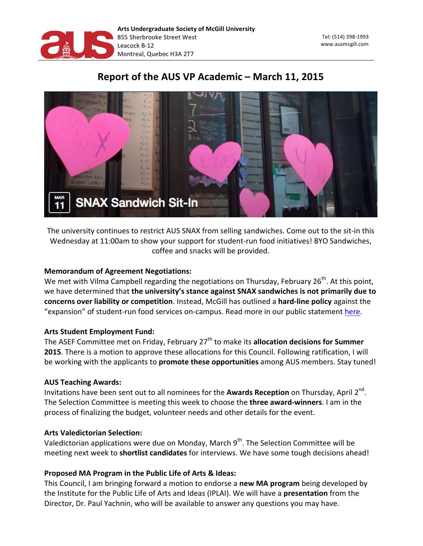

# Report of the AUS VP Academic - March 11, 2015



The university continues to restrict AUS SNAX from selling sandwiches. Come out to the sit-in this Wednesday at 11:00am to show your support for student-run food initiatives! BYO Sandwiches, coffee and snacks will be provided.

### **Memorandum of Agreement Negotiations:**

We met with Vilma Campbell regarding the negotiations on Thursday, February  $26^{th}$ . At this point, we have determined that the university's stance against SNAX sandwiches is not primarily due to concerns over liability or competition. Instead, McGill has outlined a hard-line policy against the "expansion" of student-run food services on-campus. Read more in our public statement here.

#### **Arts Student Employment Fund:**

The ASEF Committee met on Friday, February 27<sup>th</sup> to make its **allocation decisions for Summer** 2015. There is a motion to approve these allocations for this Council. Following ratification, I will be working with the applicants to **promote these opportunities** among AUS members. Stay tuned!

#### **AUS Teaching Awards:**

Invitations have been sent out to all nominees for the **Awards Reception** on Thursday, April 2<sup>nd</sup>. The Selection Committee is meeting this week to choose the **three award-winners**. I am in the process of finalizing the budget, volunteer needs and other details for the event.

#### **Arts Valedictorian Selection:**

Valedictorian applications were due on Monday, March 9<sup>th</sup>. The Selection Committee will be meeting next week to **shortlist candidates** for interviews. We have some tough decisions ahead!

## Proposed MA Program in the Public Life of Arts & Ideas:

This Council, I am bringing forward a motion to endorse a **new MA program** being developed by the Institute for the Public Life of Arts and Ideas (IPLAI). We will have a **presentation** from the Director, Dr. Paul Yachnin, who will be available to answer any questions you may have.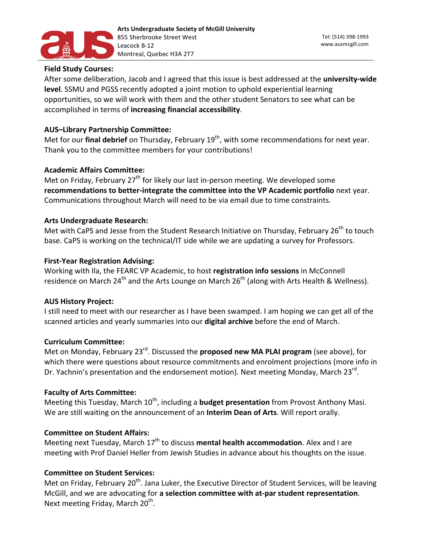

#### **Field Study Courses:**

After some deliberation, Jacob and I agreed that this issue is best addressed at the *university-wide* **level**. SSMU and PGSS recently adopted a joint motion to uphold experiential learning opportunities, so we will work with them and the other student Senators to see what can be accomplished in terms of increasing financial accessibility.

#### **AUS-Library Partnership Committee:**

Met for our final debrief on Thursday, February 19<sup>th</sup>, with some recommendations for next year. Thank you to the committee members for your contributions!

#### **Academic Affairs Committee:**

Met on Friday, February  $27<sup>th</sup>$  for likely our last in-person meeting. We developed some recommendations to better-integrate the committee into the VP Academic portfolio next year. Communications throughout March will need to be via email due to time constraints.

#### **Arts Undergraduate Research:**

Met with CaPS and Jesse from the Student Research Initiative on Thursday, February 26<sup>th</sup> to touch base. CaPS is working on the technical/IT side while we are updating a survey for Professors.

#### **First-Year Registration Advising:**

Working with Ila, the FEARC VP Academic, to host registration info sessions in McConnell residence on March 24<sup>th</sup> and the Arts Lounge on March  $26<sup>th</sup>$  (along with Arts Health & Wellness).

#### **AUS History Project:**

I still need to meet with our researcher as I have been swamped. I am hoping we can get all of the scanned articles and yearly summaries into our **digital archive** before the end of March.

#### **Curriculum 
Committee:**

Met on Monday, February 23<sup>rd</sup>. Discussed the **proposed new MA PLAI program** (see above), for which there were questions about resource commitments and enrolment projections (more info in Dr. Yachnin's presentation and the endorsement motion). Next meeting Monday, March 23<sup>rd</sup>.

#### **Faculty of Arts Committee:**

Meeting this Tuesday, March 10<sup>th</sup>, including a **budget presentation** from Provost Anthony Masi. We are still waiting on the announcement of an **Interim Dean of Arts**. Will report orally.

#### **Committee on Student Affairs:**

Meeting next Tuesday, March 17<sup>th</sup> to discuss mental health accommodation. Alex and I are meeting with Prof Daniel Heller from Jewish Studies in advance about his thoughts on the issue.

#### **Committee on Student Services:**

Met on Friday, February 20<sup>th</sup>. Jana Luker, the Executive Director of Student Services, will be leaving McGill, and we are advocating for a selection committee with at-par student representation. Next meeting Friday, March 20<sup>th</sup>.